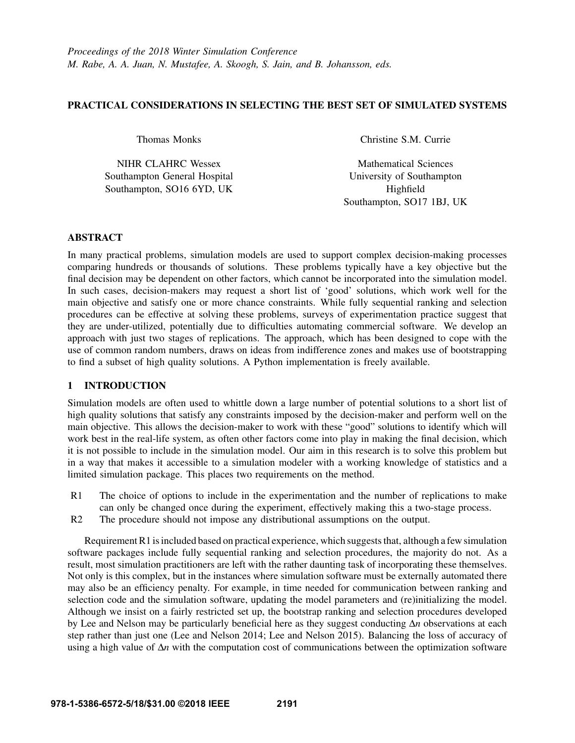# PRACTICAL CONSIDERATIONS IN SELECTING THE BEST SET OF SIMULATED SYSTEMS

Thomas Monks

NIHR CLAHRC Wessex Southampton General Hospital Southampton, SO16 6YD, UK

Christine S.M. Currie

Mathematical Sciences University of Southampton Highfield Southampton, SO17 1BJ, UK

# ABSTRACT

In many practical problems, simulation models are used to support complex decision-making processes comparing hundreds or thousands of solutions. These problems typically have a key objective but the final decision may be dependent on other factors, which cannot be incorporated into the simulation model. In such cases, decision-makers may request a short list of 'good' solutions, which work well for the main objective and satisfy one or more chance constraints. While fully sequential ranking and selection procedures can be effective at solving these problems, surveys of experimentation practice suggest that they are under-utilized, potentially due to difficulties automating commercial software. We develop an approach with just two stages of replications. The approach, which has been designed to cope with the use of common random numbers, draws on ideas from indifference zones and makes use of bootstrapping to find a subset of high quality solutions. A Python implementation is freely available.

# 1 INTRODUCTION

Simulation models are often used to whittle down a large number of potential solutions to a short list of high quality solutions that satisfy any constraints imposed by the decision-maker and perform well on the main objective. This allows the decision-maker to work with these "good" solutions to identify which will work best in the real-life system, as often other factors come into play in making the final decision, which it is not possible to include in the simulation model. Our aim in this research is to solve this problem but in a way that makes it accessible to a simulation modeler with a working knowledge of statistics and a limited simulation package. This places two requirements on the method.

- R1 The choice of options to include in the experimentation and the number of replications to make can only be changed once during the experiment, effectively making this a two-stage process.
- R2 The procedure should not impose any distributional assumptions on the output.

Requirement R1 is included based on practical experience, which suggests that, although a few simulation software packages include fully sequential ranking and selection procedures, the majority do not. As a result, most simulation practitioners are left with the rather daunting task of incorporating these themselves. Not only is this complex, but in the instances where simulation software must be externally automated there may also be an efficiency penalty. For example, in time needed for communication between ranking and selection code and the simulation software, updating the model parameters and (re)initializing the model. Although we insist on a fairly restricted set up, the bootstrap ranking and selection procedures developed by Lee and Nelson may be particularly beneficial here as they suggest conducting ∆*n* observations at each step rather than just one (Lee and Nelson 2014; Lee and Nelson 2015). Balancing the loss of accuracy of using a high value of ∆*n* with the computation cost of communications between the optimization software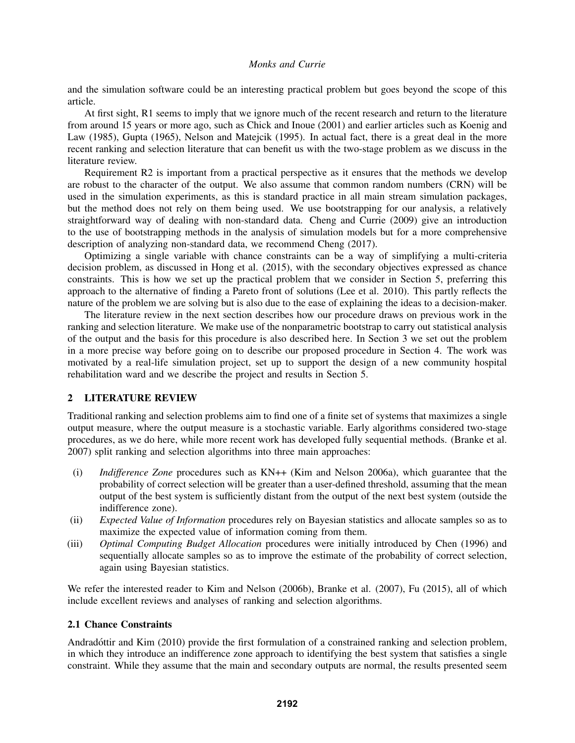and the simulation software could be an interesting practical problem but goes beyond the scope of this article.

At first sight, R1 seems to imply that we ignore much of the recent research and return to the literature from around 15 years or more ago, such as Chick and Inoue (2001) and earlier articles such as Koenig and Law (1985), Gupta (1965), Nelson and Matejcik (1995). In actual fact, there is a great deal in the more recent ranking and selection literature that can benefit us with the two-stage problem as we discuss in the literature review.

Requirement R2 is important from a practical perspective as it ensures that the methods we develop are robust to the character of the output. We also assume that common random numbers (CRN) will be used in the simulation experiments, as this is standard practice in all main stream simulation packages, but the method does not rely on them being used. We use bootstrapping for our analysis, a relatively straightforward way of dealing with non-standard data. Cheng and Currie (2009) give an introduction to the use of bootstrapping methods in the analysis of simulation models but for a more comprehensive description of analyzing non-standard data, we recommend Cheng (2017).

Optimizing a single variable with chance constraints can be a way of simplifying a multi-criteria decision problem, as discussed in Hong et al. (2015), with the secondary objectives expressed as chance constraints. This is how we set up the practical problem that we consider in Section 5, preferring this approach to the alternative of finding a Pareto front of solutions (Lee et al. 2010). This partly reflects the nature of the problem we are solving but is also due to the ease of explaining the ideas to a decision-maker.

The literature review in the next section describes how our procedure draws on previous work in the ranking and selection literature. We make use of the nonparametric bootstrap to carry out statistical analysis of the output and the basis for this procedure is also described here. In Section 3 we set out the problem in a more precise way before going on to describe our proposed procedure in Section 4. The work was motivated by a real-life simulation project, set up to support the design of a new community hospital rehabilitation ward and we describe the project and results in Section 5.

# 2 LITERATURE REVIEW

Traditional ranking and selection problems aim to find one of a finite set of systems that maximizes a single output measure, where the output measure is a stochastic variable. Early algorithms considered two-stage procedures, as we do here, while more recent work has developed fully sequential methods. (Branke et al. 2007) split ranking and selection algorithms into three main approaches:

- (i) *Indifference Zone* procedures such as KN++ (Kim and Nelson 2006a), which guarantee that the probability of correct selection will be greater than a user-defined threshold, assuming that the mean output of the best system is sufficiently distant from the output of the next best system (outside the indifference zone).
- (ii) *Expected Value of Information* procedures rely on Bayesian statistics and allocate samples so as to maximize the expected value of information coming from them.
- (iii) *Optimal Computing Budget Allocation* procedures were initially introduced by Chen (1996) and sequentially allocate samples so as to improve the estimate of the probability of correct selection, again using Bayesian statistics.

We refer the interested reader to Kim and Nelson (2006b), Branke et al. (2007), Fu (2015), all of which include excellent reviews and analyses of ranking and selection algorithms.

# 2.1 Chance Constraints

Andradóttir and Kim (2010) provide the first formulation of a constrained ranking and selection problem, in which they introduce an indifference zone approach to identifying the best system that satisfies a single constraint. While they assume that the main and secondary outputs are normal, the results presented seem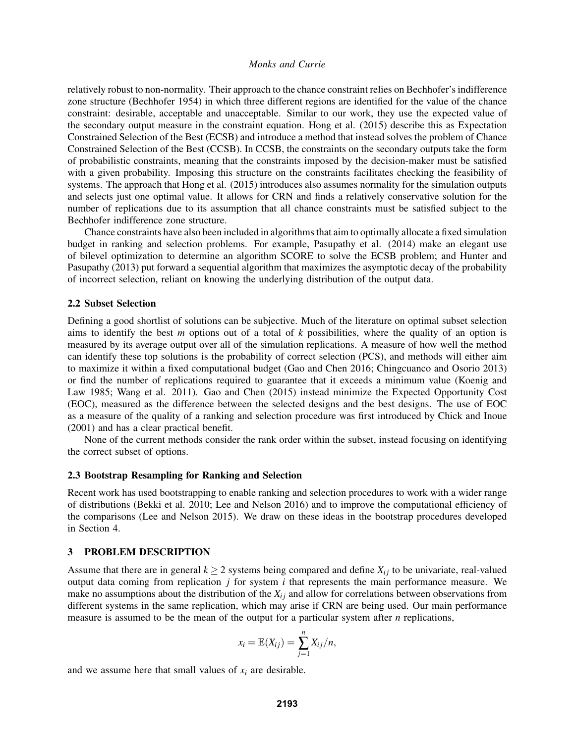relatively robust to non-normality. Their approach to the chance constraint relies on Bechhofer's indifference zone structure (Bechhofer 1954) in which three different regions are identified for the value of the chance constraint: desirable, acceptable and unacceptable. Similar to our work, they use the expected value of the secondary output measure in the constraint equation. Hong et al. (2015) describe this as Expectation Constrained Selection of the Best (ECSB) and introduce a method that instead solves the problem of Chance Constrained Selection of the Best (CCSB). In CCSB, the constraints on the secondary outputs take the form of probabilistic constraints, meaning that the constraints imposed by the decision-maker must be satisfied with a given probability. Imposing this structure on the constraints facilitates checking the feasibility of systems. The approach that Hong et al. (2015) introduces also assumes normality for the simulation outputs and selects just one optimal value. It allows for CRN and finds a relatively conservative solution for the number of replications due to its assumption that all chance constraints must be satisfied subject to the Bechhofer indifference zone structure.

Chance constraints have also been included in algorithms that aim to optimally allocate a fixed simulation budget in ranking and selection problems. For example, Pasupathy et al. (2014) make an elegant use of bilevel optimization to determine an algorithm SCORE to solve the ECSB problem; and Hunter and Pasupathy (2013) put forward a sequential algorithm that maximizes the asymptotic decay of the probability of incorrect selection, reliant on knowing the underlying distribution of the output data.

#### 2.2 Subset Selection

Defining a good shortlist of solutions can be subjective. Much of the literature on optimal subset selection aims to identify the best *m* options out of a total of *k* possibilities, where the quality of an option is measured by its average output over all of the simulation replications. A measure of how well the method can identify these top solutions is the probability of correct selection (PCS), and methods will either aim to maximize it within a fixed computational budget (Gao and Chen 2016; Chingcuanco and Osorio 2013) or find the number of replications required to guarantee that it exceeds a minimum value (Koenig and Law 1985; Wang et al. 2011). Gao and Chen (2015) instead minimize the Expected Opportunity Cost (EOC), measured as the difference between the selected designs and the best designs. The use of EOC as a measure of the quality of a ranking and selection procedure was first introduced by Chick and Inoue (2001) and has a clear practical benefit.

None of the current methods consider the rank order within the subset, instead focusing on identifying the correct subset of options.

#### 2.3 Bootstrap Resampling for Ranking and Selection

Recent work has used bootstrapping to enable ranking and selection procedures to work with a wider range of distributions (Bekki et al. 2010; Lee and Nelson 2016) and to improve the computational efficiency of the comparisons (Lee and Nelson 2015). We draw on these ideas in the bootstrap procedures developed in Section 4.

#### 3 PROBLEM DESCRIPTION

Assume that there are in general  $k \ge 2$  systems being compared and define  $X_{ij}$  to be univariate, real-valued output data coming from replication *j* for system *i* that represents the main performance measure. We make no assumptions about the distribution of the  $X_i$  and allow for correlations between observations from different systems in the same replication, which may arise if CRN are being used. Our main performance measure is assumed to be the mean of the output for a particular system after *n* replications,

$$
x_i = \mathbb{E}(X_{ij}) = \sum_{j=1}^n X_{ij}/n,
$$

and we assume here that small values of  $x_i$  are desirable.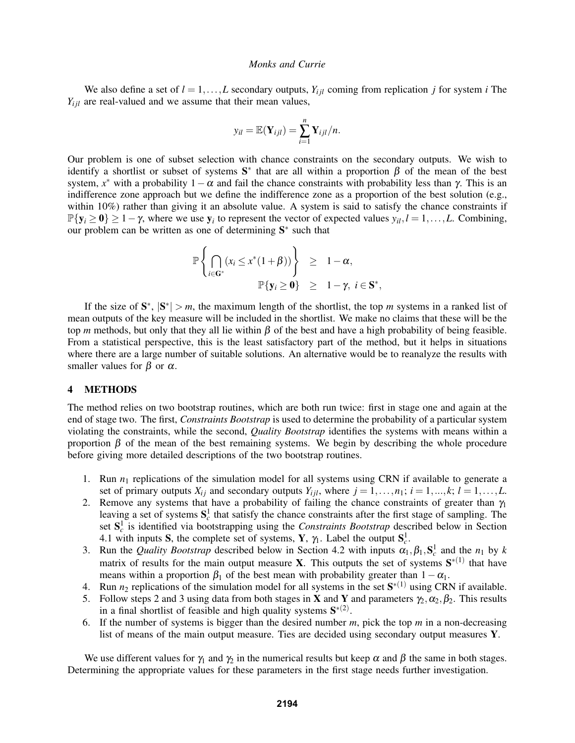We also define a set of  $l = 1, ..., L$  secondary outputs,  $Y_{i, l}$  coming from replication *j* for system *i* The  $Y_{i j l}$  are real-valued and we assume that their mean values,

$$
y_{il} = \mathbb{E}(\mathbf{Y}_{ijl}) = \sum_{i=1}^n \mathbf{Y}_{ijl}/n.
$$

Our problem is one of subset selection with chance constraints on the secondary outputs. We wish to identify a shortlist or subset of systems  $S^*$  that are all within a proportion  $\beta$  of the mean of the best system,  $x^*$  with a probability  $1-\alpha$  and fail the chance constraints with probability less than  $\gamma$ . This is an indifference zone approach but we define the indifference zone as a proportion of the best solution (e.g., within 10%) rather than giving it an absolute value. A system is said to satisfy the chance constraints if  $\mathbb{P}\{\mathbf{y}_i \geq \mathbf{0}\} \geq 1 - \gamma$ , where we use  $\mathbf{y}_i$  to represent the vector of expected values  $y_{il}$ ,  $l = 1, \ldots, L$ . Combining, our problem can be written as one of determining  $S^*$  such that

$$
\mathbb{P}\left\{\bigcap_{i\in\mathbf{G}^*}(x_i\leq x^*(1+\beta))\right\} \geq 1-\alpha, \n\mathbb{P}\{\mathbf{y}_i\geq \mathbf{0}\} \geq 1-\gamma, i\in\mathbf{S}^*,
$$

If the size of  $S^*$ ,  $|S^*| > m$ , the maximum length of the shortlist, the top *m* systems in a ranked list of mean outputs of the key measure will be included in the shortlist. We make no claims that these will be the top *m* methods, but only that they all lie within  $\beta$  of the best and have a high probability of being feasible. From a statistical perspective, this is the least satisfactory part of the method, but it helps in situations where there are a large number of suitable solutions. An alternative would be to reanalyze the results with smaller values for  $\beta$  or  $\alpha$ .

#### 4 METHODS

The method relies on two bootstrap routines, which are both run twice: first in stage one and again at the end of stage two. The first, *Constraints Bootstrap* is used to determine the probability of a particular system violating the constraints, while the second, *Quality Bootstrap* identifies the systems with means within a proportion  $\beta$  of the mean of the best remaining systems. We begin by describing the whole procedure before giving more detailed descriptions of the two bootstrap routines.

- 1. Run *n*<sup>1</sup> replications of the simulation model for all systems using CRN if available to generate a set of primary outputs  $X_{ij}$  and secondary outputs  $Y_{ijl}$ , where  $j = 1, \ldots, n_1; i = 1, \ldots, k; l = 1, \ldots, L$ .
- 2. Remove any systems that have a probability of failing the chance constraints of greater than  $\gamma_1$ leaving a set of systems  $S_c^1$  that satisfy the chance constraints after the first stage of sampling. The set  $S_c^1$  is identified via bootstrapping using the *Constraints Bootstrap* described below in Section 4.1 with inputs S, the complete set of systems, Y,  $\gamma_1$ . Label the output  $S_c^1$ .
- 3. Run the *Quality Bootstrap* described below in Section 4.2 with inputs  $\alpha_1, \beta_1, S_c^1$  and the  $n_1$  by *k* matrix of results for the main output measure **X**. This outputs the set of systems  $S^{*(1)}$  that have means within a proportion  $\beta_1$  of the best mean with probability greater than  $1-\alpha_1$ .
- 4. Run  $n_2$  replications of the simulation model for all systems in the set  $S^{*(1)}$  using CRN if available.
- 5. Follow steps 2 and 3 using data from both stages in **X** and **Y** and parameters  $\gamma_2, \alpha_2, \beta_2$ . This results in a final shortlist of feasible and high quality systems  $S^{*(2)}$ .
- 6. If the number of systems is bigger than the desired number *m*, pick the top *m* in a non-decreasing list of means of the main output measure. Ties are decided using secondary output measures Y.

We use different values for  $\gamma_1$  and  $\gamma_2$  in the numerical results but keep  $\alpha$  and  $\beta$  the same in both stages. Determining the appropriate values for these parameters in the first stage needs further investigation.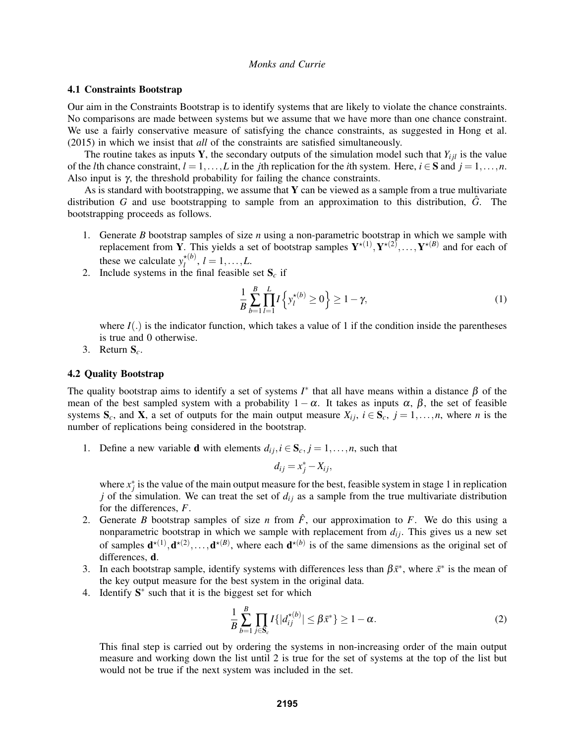## 4.1 Constraints Bootstrap

Our aim in the Constraints Bootstrap is to identify systems that are likely to violate the chance constraints. No comparisons are made between systems but we assume that we have more than one chance constraint. We use a fairly conservative measure of satisfying the chance constraints, as suggested in Hong et al. (2015) in which we insist that *all* of the constraints are satisfied simultaneously.

The routine takes as inputs Y, the secondary outputs of the simulation model such that  $Y_{i i l}$  is the value of the *l*th chance constraint,  $l = 1, ..., L$  in the *j*th replication for the *i*th system. Here,  $i \in S$  and  $j = 1, ..., n$ . Also input is  $\gamma$ , the threshold probability for failing the chance constraints.

As is standard with bootstrapping, we assume that  $Y$  can be viewed as a sample from a true multivariate distribution *G* and use bootstrapping to sample from an approximation to this distribution,  $\hat{G}$ . The bootstrapping proceeds as follows.

- 1. Generate *B* bootstrap samples of size *n* using a non-parametric bootstrap in which we sample with replacement from Y. This yields a set of bootstrap samples  $Y^{\star(1)}, Y^{\star(2)}, \ldots, Y^{\star(B)}$  and for each of these we calculate  $y_l^{\star(b)}$  $l_l^{(0)}, l = 1, \ldots, L.$
- 2. Include systems in the final feasible set  $S_c$  if

$$
\frac{1}{B} \sum_{b=1}^{B} \prod_{l=1}^{L} I \left\{ y_l^{\star(b)} \ge 0 \right\} \ge 1 - \gamma,
$$
\n(1)

where  $I(.)$  is the indicator function, which takes a value of 1 if the condition inside the parentheses is true and 0 otherwise.

3. Return S*c*.

#### 4.2 Quality Bootstrap

The quality bootstrap aims to identify a set of systems  $I^*$  that all have means within a distance  $\beta$  of the mean of the best sampled system with a probability  $1 - \alpha$ . It takes as inputs  $\alpha$ ,  $\beta$ , the set of feasible systems  $S_c$ , and  $X$ , a set of outputs for the main output measure  $X_{ij}$ ,  $i \in S_c$ ,  $j = 1, \ldots, n$ , where *n* is the number of replications being considered in the bootstrap.

1. Define a new variable **d** with elements  $d_{ij}$ ,  $i \in S_c$ ,  $j = 1, \ldots, n$ , such that

$$
d_{ij} = x_j^* - X_{ij},
$$

where  $x_j^*$  is the value of the main output measure for the best, feasible system in stage 1 in replication *j* of the simulation. We can treat the set of  $d_{ij}$  as a sample from the true multivariate distribution for the differences, *F*.

- 2. Generate *B* bootstrap samples of size *n* from  $\hat{F}$ , our approximation to *F*. We do this using a nonparametric bootstrap in which we sample with replacement from  $d_{ij}$ . This gives us a new set of samples  $\mathbf{d}^{*(1)}, \mathbf{d}^{*(2)}, \ldots, \mathbf{d}^{*(B)}$ , where each  $\mathbf{d}^{*(b)}$  is of the same dimensions as the original set of differences, d.
- 3. In each bootstrap sample, identify systems with differences less than  $\beta \bar{x}^*$ , where  $\bar{x}^*$  is the mean of the key output measure for the best system in the original data.
- 4. Identify  $S^*$  such that it is the biggest set for which

$$
\frac{1}{B} \sum_{b=1}^{B} \prod_{j \in \mathbf{S}_c} I\{|d_{ij}^{\star(b)}| \leq \beta \bar{x}^* \} \geq 1 - \alpha.
$$
 (2)

This final step is carried out by ordering the systems in non-increasing order of the main output measure and working down the list until 2 is true for the set of systems at the top of the list but would not be true if the next system was included in the set.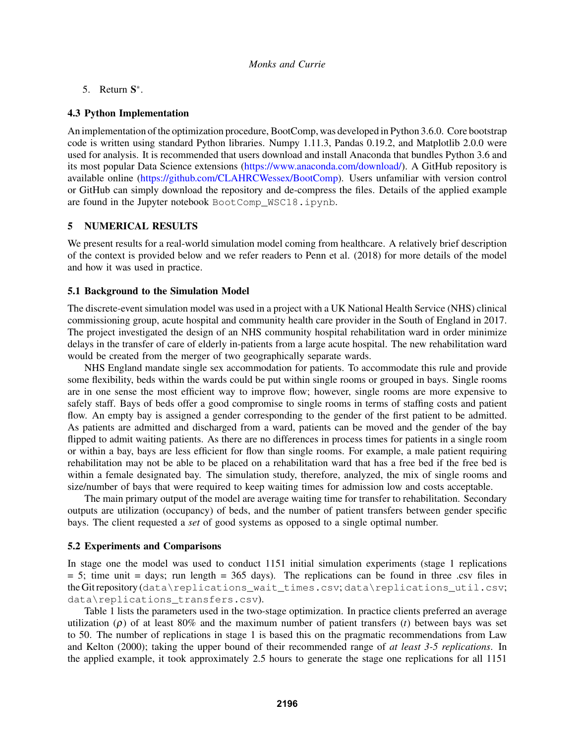5. Return  $S^*$ .

## 4.3 Python Implementation

An implementation of the optimization procedure, BootComp, was developed in Python 3.6.0. Core bootstrap code is written using standard Python libraries. Numpy 1.11.3, Pandas 0.19.2, and Matplotlib 2.0.0 were used for analysis. It is recommended that users download and install Anaconda that bundles Python 3.6 and its most popular Data Science extensions (https://www.anaconda.com/download/). A GitHub repository is available online (https://github.com/CLAHRCWessex/BootComp). Users unfamiliar with version control or GitHub can simply download the repository and de-compress the files. Details of the applied example are found in the Jupyter notebook BootComp\_WSC18.ipynb.

## 5 NUMERICAL RESULTS

We present results for a real-world simulation model coming from healthcare. A relatively brief description of the context is provided below and we refer readers to Penn et al. (2018) for more details of the model and how it was used in practice.

## 5.1 Background to the Simulation Model

The discrete-event simulation model was used in a project with a UK National Health Service (NHS) clinical commissioning group, acute hospital and community health care provider in the South of England in 2017. The project investigated the design of an NHS community hospital rehabilitation ward in order minimize delays in the transfer of care of elderly in-patients from a large acute hospital. The new rehabilitation ward would be created from the merger of two geographically separate wards.

NHS England mandate single sex accommodation for patients. To accommodate this rule and provide some flexibility, beds within the wards could be put within single rooms or grouped in bays. Single rooms are in one sense the most efficient way to improve flow; however, single rooms are more expensive to safely staff. Bays of beds offer a good compromise to single rooms in terms of staffing costs and patient flow. An empty bay is assigned a gender corresponding to the gender of the first patient to be admitted. As patients are admitted and discharged from a ward, patients can be moved and the gender of the bay flipped to admit waiting patients. As there are no differences in process times for patients in a single room or within a bay, bays are less efficient for flow than single rooms. For example, a male patient requiring rehabilitation may not be able to be placed on a rehabilitation ward that has a free bed if the free bed is within a female designated bay. The simulation study, therefore, analyzed, the mix of single rooms and size/number of bays that were required to keep waiting times for admission low and costs acceptable.

The main primary output of the model are average waiting time for transfer to rehabilitation. Secondary outputs are utilization (occupancy) of beds, and the number of patient transfers between gender specific bays. The client requested a *set* of good systems as opposed to a single optimal number.

### 5.2 Experiments and Comparisons

In stage one the model was used to conduct 1151 initial simulation experiments (stage 1 replications  $= 5$ ; time unit  $=$  days; run length  $= 365$  days). The replications can be found in three .csv files in the Git repository (data\replications\_wait\_times.csv; data\replications\_util.csv; data\replications\_transfers.csv).

Table 1 lists the parameters used in the two-stage optimization. In practice clients preferred an average utilization  $(\rho)$  of at least 80% and the maximum number of patient transfers (*t*) between bays was set to 50. The number of replications in stage 1 is based this on the pragmatic recommendations from Law and Kelton (2000); taking the upper bound of their recommended range of *at least 3-5 replications*. In the applied example, it took approximately 2.5 hours to generate the stage one replications for all 1151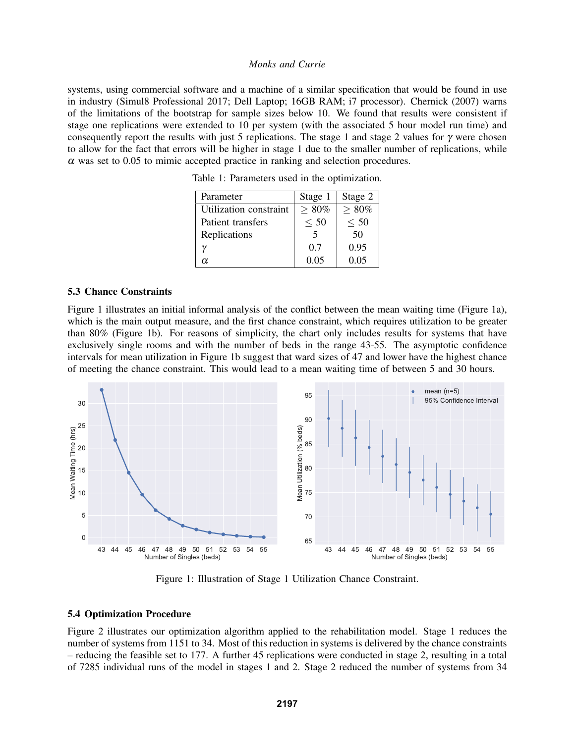systems, using commercial software and a machine of a similar specification that would be found in use in industry (Simul8 Professional 2017; Dell Laptop; 16GB RAM; i7 processor). Chernick (2007) warns of the limitations of the bootstrap for sample sizes below 10. We found that results were consistent if stage one replications were extended to 10 per system (with the associated 5 hour model run time) and consequently report the results with just 5 replications. The stage 1 and stage 2 values for  $\gamma$  were chosen to allow for the fact that errors will be higher in stage 1 due to the smaller number of replications, while  $\alpha$  was set to 0.05 to mimic accepted practice in ranking and selection procedures.

Parameter Stage 1 | Stage 2 Utilization constraint  $| > 80\% | > 80\%$ Patient transfers  $\vert \leq 50 \vert \leq 50$ Replications 1 5 50 γ 0.7 0.95  $\alpha$  0.05 0.05

Table 1: Parameters used in the optimization.

#### 5.3 Chance Constraints

Figure 1 illustrates an initial informal analysis of the conflict between the mean waiting time (Figure 1a), which is the main output measure, and the first chance constraint, which requires utilization to be greater than 80% (Figure 1b). For reasons of simplicity, the chart only includes results for systems that have exclusively single rooms and with the number of beds in the range 43-55. The asymptotic confidence intervals for mean utilization in Figure 1b suggest that ward sizes of 47 and lower have the highest chance of meeting the chance constraint. This would lead to a mean waiting time of between 5 and 30 hours.



Figure 1: Illustration of Stage 1 Utilization Chance Constraint.

#### 5.4 Optimization Procedure

Figure 2 illustrates our optimization algorithm applied to the rehabilitation model. Stage 1 reduces the number of systems from 1151 to 34. Most of this reduction in systems is delivered by the chance constraints – reducing the feasible set to 177. A further 45 replications were conducted in stage 2, resulting in a total of 7285 individual runs of the model in stages 1 and 2. Stage 2 reduced the number of systems from 34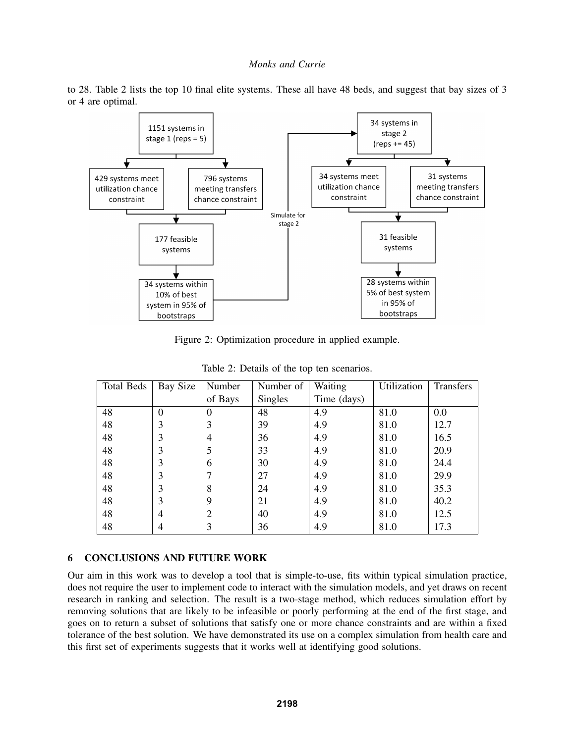to 28. Table 2 lists the top 10 final elite systems. These all have 48 beds, and suggest that bay sizes of 3 or 4 are optimal.



Figure 2: Optimization procedure in applied example.

| Total Beds | Bay Size | Number  | Number of      | Waiting     | Utilization | Transfers |
|------------|----------|---------|----------------|-------------|-------------|-----------|
|            |          | of Bays | <b>Singles</b> | Time (days) |             |           |
| 48         | $\theta$ | 0       | 48             | 4.9         | 81.0        | 0.0       |
| 48         | 3        | 3       | 39             | 4.9         | 81.0        | 12.7      |
| 48         | 3        | 4       | 36             | 4.9         | 81.0        | 16.5      |
| 48         | 3        | 5       | 33             | 4.9         | 81.0        | 20.9      |
| 48         | 3        | 6       | 30             | 4.9         | 81.0        | 24.4      |
| 48         | 3        |         | 27             | 4.9         | 81.0        | 29.9      |
| 48         | 3        | 8       | 24             | 4.9         | 81.0        | 35.3      |
| 48         | 3        | 9       | 21             | 4.9         | 81.0        | 40.2      |
| 48         | 4        | 2       | 40             | 4.9         | 81.0        | 12.5      |
| 48         | 4        | 3       | 36             | 4.9         | 81.0        | 17.3      |

Table 2: Details of the top ten scenarios.

# 6 CONCLUSIONS AND FUTURE WORK

Our aim in this work was to develop a tool that is simple-to-use, fits within typical simulation practice, does not require the user to implement code to interact with the simulation models, and yet draws on recent research in ranking and selection. The result is a two-stage method, which reduces simulation effort by removing solutions that are likely to be infeasible or poorly performing at the end of the first stage, and goes on to return a subset of solutions that satisfy one or more chance constraints and are within a fixed tolerance of the best solution. We have demonstrated its use on a complex simulation from health care and this first set of experiments suggests that it works well at identifying good solutions.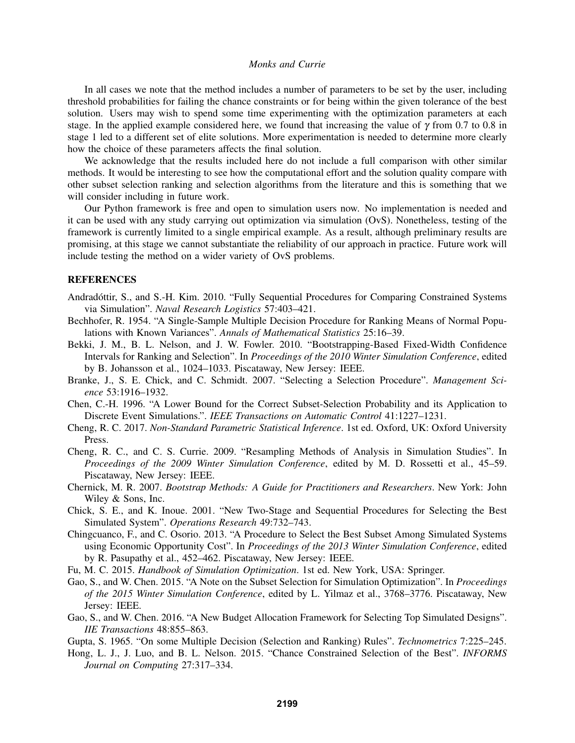In all cases we note that the method includes a number of parameters to be set by the user, including threshold probabilities for failing the chance constraints or for being within the given tolerance of the best solution. Users may wish to spend some time experimenting with the optimization parameters at each stage. In the applied example considered here, we found that increasing the value of  $\gamma$  from 0.7 to 0.8 in stage 1 led to a different set of elite solutions. More experimentation is needed to determine more clearly how the choice of these parameters affects the final solution.

We acknowledge that the results included here do not include a full comparison with other similar methods. It would be interesting to see how the computational effort and the solution quality compare with other subset selection ranking and selection algorithms from the literature and this is something that we will consider including in future work.

Our Python framework is free and open to simulation users now. No implementation is needed and it can be used with any study carrying out optimization via simulation (OvS). Nonetheless, testing of the framework is currently limited to a single empirical example. As a result, although preliminary results are promising, at this stage we cannot substantiate the reliability of our approach in practice. Future work will include testing the method on a wider variety of OvS problems.

#### REFERENCES

- Andradóttir, S., and S.-H. Kim. 2010. "Fully Sequential Procedures for Comparing Constrained Systems via Simulation". *Naval Research Logistics* 57:403–421.
- Bechhofer, R. 1954. "A Single-Sample Multiple Decision Procedure for Ranking Means of Normal Populations with Known Variances". *Annals of Mathematical Statistics* 25:16–39.
- Bekki, J. M., B. L. Nelson, and J. W. Fowler. 2010. "Bootstrapping-Based Fixed-Width Confidence Intervals for Ranking and Selection". In *Proceedings of the 2010 Winter Simulation Conference*, edited by B. Johansson et al., 1024–1033. Piscataway, New Jersey: IEEE.
- Branke, J., S. E. Chick, and C. Schmidt. 2007. "Selecting a Selection Procedure". *Management Science* 53:1916–1932.
- Chen, C.-H. 1996. "A Lower Bound for the Correct Subset-Selection Probability and its Application to Discrete Event Simulations.". *IEEE Transactions on Automatic Control* 41:1227–1231.
- Cheng, R. C. 2017. *Non-Standard Parametric Statistical Inference*. 1st ed. Oxford, UK: Oxford University Press.
- Cheng, R. C., and C. S. Currie. 2009. "Resampling Methods of Analysis in Simulation Studies". In *Proceedings of the 2009 Winter Simulation Conference*, edited by M. D. Rossetti et al., 45–59. Piscataway, New Jersey: IEEE.
- Chernick, M. R. 2007. *Bootstrap Methods: A Guide for Practitioners and Researchers*. New York: John Wiley & Sons, Inc.
- Chick, S. E., and K. Inoue. 2001. "New Two-Stage and Sequential Procedures for Selecting the Best Simulated System". *Operations Research* 49:732–743.
- Chingcuanco, F., and C. Osorio. 2013. "A Procedure to Select the Best Subset Among Simulated Systems using Economic Opportunity Cost". In *Proceedings of the 2013 Winter Simulation Conference*, edited by R. Pasupathy et al., 452–462. Piscataway, New Jersey: IEEE.
- Fu, M. C. 2015. *Handbook of Simulation Optimization*. 1st ed. New York, USA: Springer.
- Gao, S., and W. Chen. 2015. "A Note on the Subset Selection for Simulation Optimization". In *Proceedings of the 2015 Winter Simulation Conference*, edited by L. Yilmaz et al., 3768–3776. Piscataway, New Jersey: IEEE.
- Gao, S., and W. Chen. 2016. "A New Budget Allocation Framework for Selecting Top Simulated Designs". *IIE Transactions* 48:855–863.
- Gupta, S. 1965. "On some Multiple Decision (Selection and Ranking) Rules". *Technometrics* 7:225–245.
- Hong, L. J., J. Luo, and B. L. Nelson. 2015. "Chance Constrained Selection of the Best". *INFORMS Journal on Computing* 27:317–334.